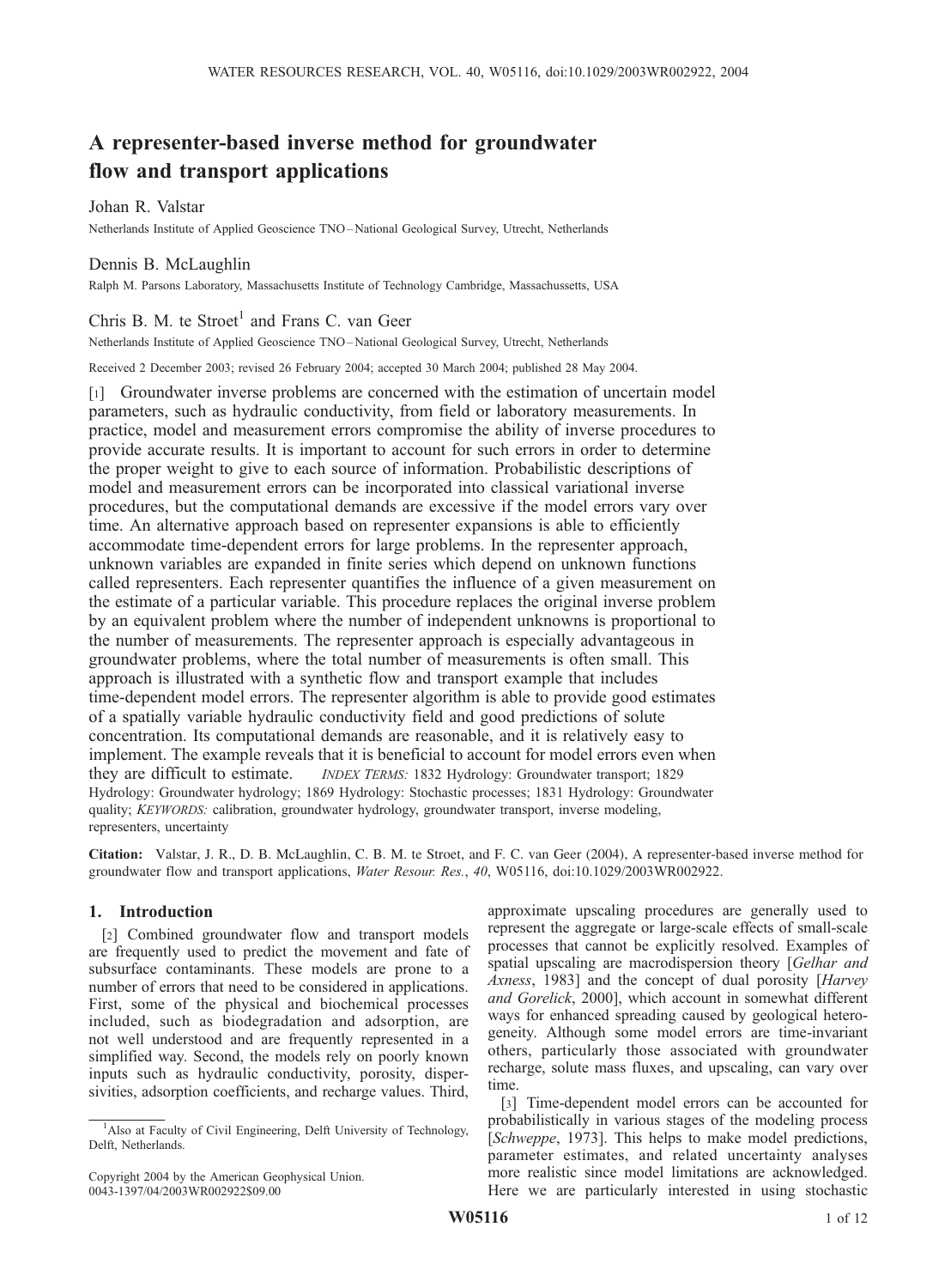# A representer-based inverse method for groundwater flow and transport applications

## Johan R. Valstar

Netherlands Institute of Applied Geoscience TNO – National Geological Survey, Utrecht, Netherlands

## Dennis B. McLaughlin

Ralph M. Parsons Laboratory, Massachusetts Institute of Technology Cambridge, Massachussetts, USA

## Chris B. M. te Stroet<sup>1</sup> and Frans C. van Geer

Netherlands Institute of Applied Geoscience TNO – National Geological Survey, Utrecht, Netherlands

Received 2 December 2003; revised 26 February 2004; accepted 30 March 2004; published 28 May 2004.

[1] Groundwater inverse problems are concerned with the estimation of uncertain model parameters, such as hydraulic conductivity, from field or laboratory measurements. In practice, model and measurement errors compromise the ability of inverse procedures to provide accurate results. It is important to account for such errors in order to determine the proper weight to give to each source of information. Probabilistic descriptions of model and measurement errors can be incorporated into classical variational inverse procedures, but the computational demands are excessive if the model errors vary over time. An alternative approach based on representer expansions is able to efficiently accommodate time-dependent errors for large problems. In the representer approach, unknown variables are expanded in finite series which depend on unknown functions called representers. Each representer quantifies the influence of a given measurement on the estimate of a particular variable. This procedure replaces the original inverse problem by an equivalent problem where the number of independent unknowns is proportional to the number of measurements. The representer approach is especially advantageous in groundwater problems, where the total number of measurements is often small. This approach is illustrated with a synthetic flow and transport example that includes time-dependent model errors. The representer algorithm is able to provide good estimates of a spatially variable hydraulic conductivity field and good predictions of solute concentration. Its computational demands are reasonable, and it is relatively easy to implement. The example reveals that it is beneficial to account for model errors even when they are difficult to estimate. INDEX TERMS: 1832 Hydrology: Groundwater transport; 1829 Hydrology: Groundwater hydrology; 1869 Hydrology: Stochastic processes; 1831 Hydrology: Groundwater quality; KEYWORDS: calibration, groundwater hydrology, groundwater transport, inverse modeling, representers, uncertainty

Citation: Valstar, J. R., D. B. McLaughlin, C. B. M. te Stroet, and F. C. van Geer (2004), A representer-based inverse method for groundwater flow and transport applications, Water Resour. Res., 40, W05116, doi:10.1029/2003WR002922.

## 1. Introduction

[2] Combined groundwater flow and transport models are frequently used to predict the movement and fate of subsurface contaminants. These models are prone to a number of errors that need to be considered in applications. First, some of the physical and biochemical processes included, such as biodegradation and adsorption, are not well understood and are frequently represented in a simplified way. Second, the models rely on poorly known inputs such as hydraulic conductivity, porosity, dispersivities, adsorption coefficients, and recharge values. Third, approximate upscaling procedures are generally used to represent the aggregate or large-scale effects of small-scale processes that cannot be explicitly resolved. Examples of spatial upscaling are macrodispersion theory [Gelhar and Axness, 1983] and the concept of dual porosity [Harvey and Gorelick, 2000], which account in somewhat different ways for enhanced spreading caused by geological heterogeneity. Although some model errors are time-invariant others, particularly those associated with groundwater recharge, solute mass fluxes, and upscaling, can vary over time.

[3] Time-dependent model errors can be accounted for probabilistically in various stages of the modeling process [Schweppe, 1973]. This helps to make model predictions, parameter estimates, and related uncertainty analyses more realistic since model limitations are acknowledged. Here we are particularly interested in using stochastic

<sup>&</sup>lt;sup>1</sup>Also at Faculty of Civil Engineering, Delft University of Technology, Delft, Netherlands.

Copyright 2004 by the American Geophysical Union. 0043-1397/04/2003WR002922\$09.00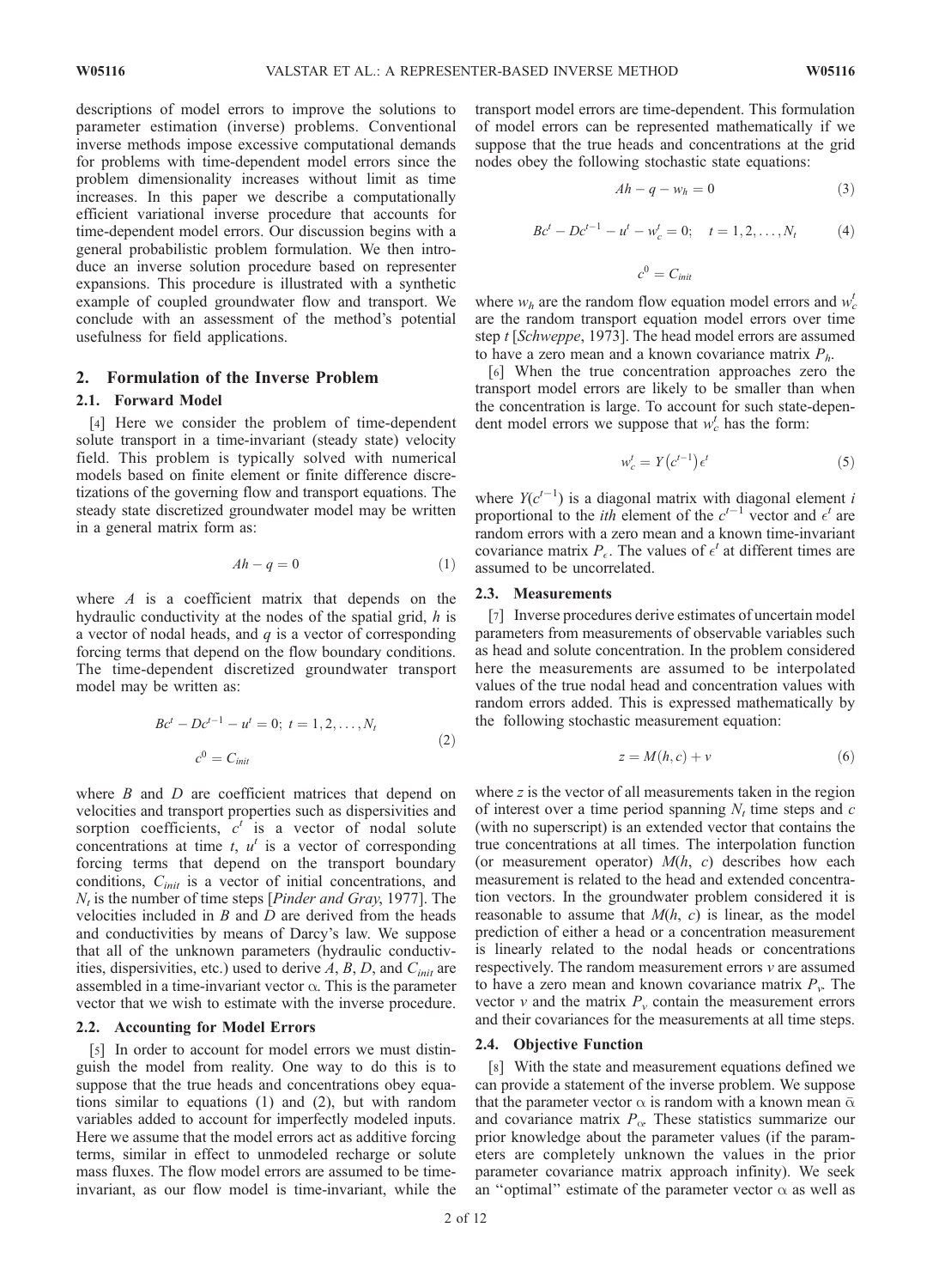descriptions of model errors to improve the solutions to parameter estimation (inverse) problems. Conventional inverse methods impose excessive computational demands for problems with time-dependent model errors since the problem dimensionality increases without limit as time increases. In this paper we describe a computationally efficient variational inverse procedure that accounts for time-dependent model errors. Our discussion begins with a general probabilistic problem formulation. We then introduce an inverse solution procedure based on representer expansions. This procedure is illustrated with a synthetic example of coupled groundwater flow and transport. We conclude with an assessment of the method's potential usefulness for field applications.

## 2. Formulation of the Inverse Problem

#### 2.1. Forward Model

[4] Here we consider the problem of time-dependent solute transport in a time-invariant (steady state) velocity field. This problem is typically solved with numerical models based on finite element or finite difference discretizations of the governing flow and transport equations. The steady state discretized groundwater model may be written in a general matrix form as:

$$
Ah - q = 0 \tag{1}
$$

where  $A$  is a coefficient matrix that depends on the hydraulic conductivity at the nodes of the spatial grid, h is a vector of nodal heads, and  $q$  is a vector of corresponding forcing terms that depend on the flow boundary conditions. The time-dependent discretized groundwater transport model may be written as:

$$
Bc^{t} - Dc^{t-1} - u^{t} = 0; \ t = 1, 2, ..., N_{t}
$$
  

$$
c^{0} = C_{init}
$$
 (2)

where  $B$  and  $D$  are coefficient matrices that depend on velocities and transport properties such as dispersivities and sorption coefficients,  $c^t$  is a vector of nodal solute concentrations at time  $t$ ,  $u^t$  is a vector of corresponding forcing terms that depend on the transport boundary conditions,  $C_{init}$  is a vector of initial concentrations, and  $N_t$  is the number of time steps [*Pinder and Gray*, 1977]. The velocities included in  $B$  and  $D$  are derived from the heads and conductivities by means of Darcy's law. We suppose that all of the unknown parameters (hydraulic conductivities, dispersivities, etc.) used to derive  $A$ ,  $B$ ,  $D$ , and  $C<sub>init</sub>$  are assembled in a time-invariant vector  $\alpha$ . This is the parameter vector that we wish to estimate with the inverse procedure.

### 2.2. Accounting for Model Errors

[5] In order to account for model errors we must distinguish the model from reality. One way to do this is to suppose that the true heads and concentrations obey equations similar to equations (1) and (2), but with random variables added to account for imperfectly modeled inputs. Here we assume that the model errors act as additive forcing terms, similar in effect to unmodeled recharge or solute mass fluxes. The flow model errors are assumed to be timeinvariant, as our flow model is time-invariant, while the transport model errors are time-dependent. This formulation of model errors can be represented mathematically if we suppose that the true heads and concentrations at the grid nodes obey the following stochastic state equations:

$$
Ah - q - w_h = 0 \tag{3}
$$

$$
Bc^{t} - Dc^{t-1} - u^{t} - w_{c}^{t} = 0; \quad t = 1, 2, ..., N_{t}
$$
 (4)

 $c^0 = C_{init}$ 

where  $w_h$  are the random flow equation model errors and  $w_c^t$ are the random transport equation model errors over time step t [Schweppe, 1973]. The head model errors are assumed to have a zero mean and a known covariance matrix  $P_h$ .

[6] When the true concentration approaches zero the transport model errors are likely to be smaller than when the concentration is large. To account for such state-dependent model errors we suppose that  $w_c^t$  has the form:

$$
w_c^t = Y(c^{t-1})\epsilon^t \tag{5}
$$

where  $Y(c^{t-1})$  is a diagonal matrix with diagonal element i proportional to the *ith* element of the  $c^{t-1}$  vector and  $\epsilon^t$  are random errors with a zero mean and a known time-invariant covariance matrix  $P_{\epsilon}$ . The values of  $\epsilon^{t}$  at different times are assumed to be uncorrelated.

## 2.3. Measurements

[7] Inverse procedures derive estimates of uncertain model parameters from measurements of observable variables such as head and solute concentration. In the problem considered here the measurements are assumed to be interpolated values of the true nodal head and concentration values with random errors added. This is expressed mathematically by the following stochastic measurement equation:

$$
z = M(h, c) + v \tag{6}
$$

where  $z$  is the vector of all measurements taken in the region of interest over a time period spanning  $N_t$  time steps and c (with no superscript) is an extended vector that contains the true concentrations at all times. The interpolation function (or measurement operator)  $M(h, c)$  describes how each measurement is related to the head and extended concentration vectors. In the groundwater problem considered it is reasonable to assume that  $M(h, c)$  is linear, as the model prediction of either a head or a concentration measurement is linearly related to the nodal heads or concentrations respectively. The random measurement errors  $v$  are assumed to have a zero mean and known covariance matrix  $P_{v}$ . The vector  $v$  and the matrix  $P_v$  contain the measurement errors and their covariances for the measurements at all time steps.

#### 2.4. Objective Function

[8] With the state and measurement equations defined we can provide a statement of the inverse problem. We suppose that the parameter vector  $\alpha$  is random with a known mean  $\bar{\alpha}$ and covariance matrix  $P_{\alpha}$ . These statistics summarize our prior knowledge about the parameter values (if the parameters are completely unknown the values in the prior parameter covariance matrix approach infinity). We seek an "optimal" estimate of the parameter vector  $\alpha$  as well as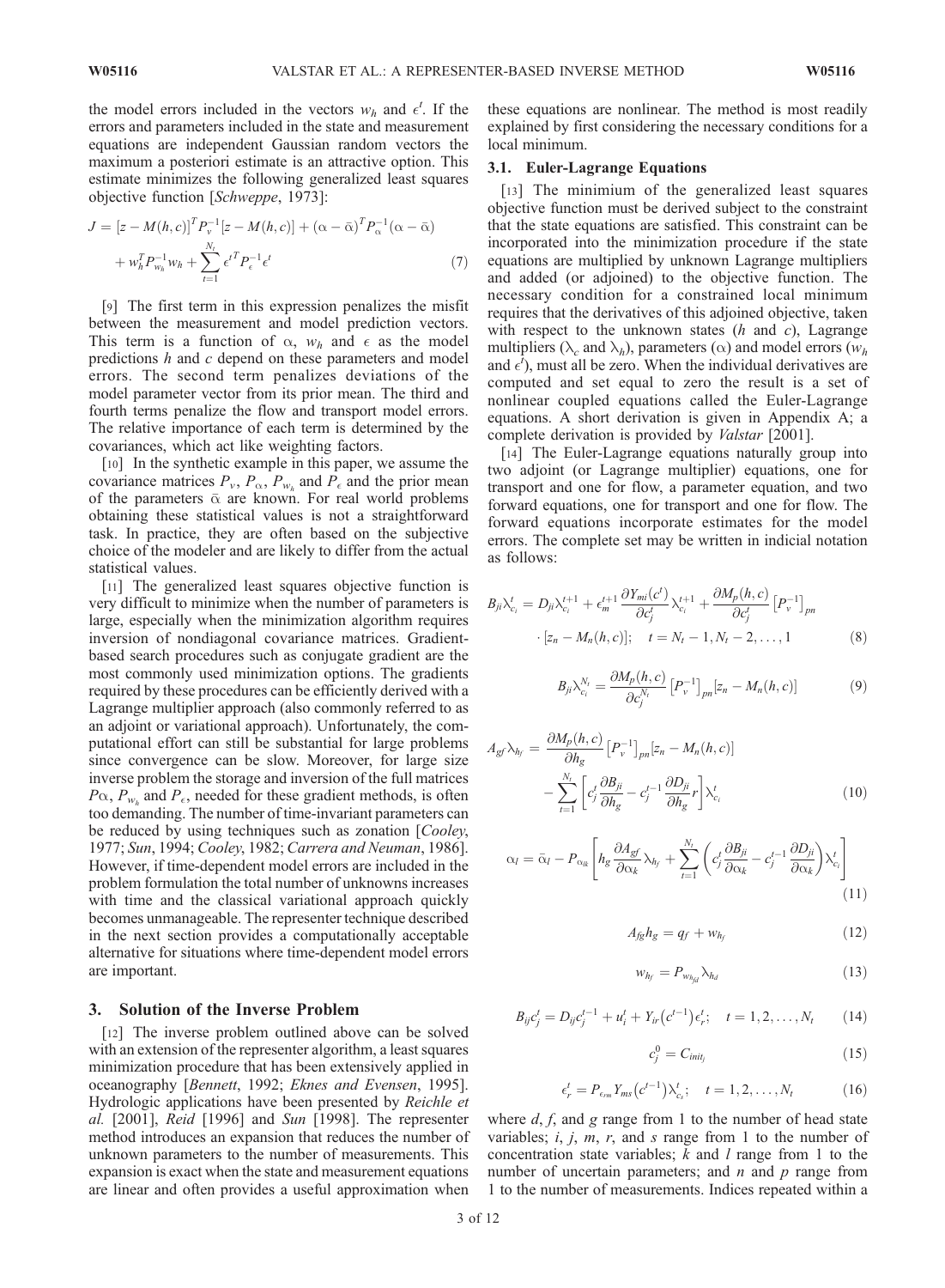the model errors included in the vectors  $w_h$  and  $\epsilon^t$ . If the errors and parameters included in the state and measurement equations are independent Gaussian random vectors the maximum a posteriori estimate is an attractive option. This estimate minimizes the following generalized least squares objective function [Schweppe, 1973]:

$$
J = [z - M(h, c)]^T P_v^{-1} [z - M(h, c)] + (\alpha - \bar{\alpha})^T P_{\alpha}^{-1} (\alpha - \bar{\alpha})
$$
  
+ 
$$
w_h^T P_{w_h}^{-1} w_h + \sum_{t=1}^{N_t} \epsilon^{t} P_{\epsilon}^{-1} \epsilon^t
$$
 (7)

[9] The first term in this expression penalizes the misfit between the measurement and model prediction vectors. This term is a function of  $\alpha$ ,  $w_h$  and  $\epsilon$  as the model predictions  $h$  and  $c$  depend on these parameters and model errors. The second term penalizes deviations of the model parameter vector from its prior mean. The third and fourth terms penalize the flow and transport model errors. The relative importance of each term is determined by the covariances, which act like weighting factors.

[10] In the synthetic example in this paper, we assume the covariance matrices  $P_v$ ,  $P_{\alpha}$ ,  $P_{w_h}$  and  $P_{\epsilon}$  and the prior mean of the parameters  $\bar{\alpha}$  are known. For real world problems obtaining these statistical values is not a straightforward task. In practice, they are often based on the subjective choice of the modeler and are likely to differ from the actual statistical values.

[11] The generalized least squares objective function is very difficult to minimize when the number of parameters is large, especially when the minimization algorithm requires inversion of nondiagonal covariance matrices. Gradientbased search procedures such as conjugate gradient are the most commonly used minimization options. The gradients required by these procedures can be efficiently derived with a Lagrange multiplier approach (also commonly referred to as an adjoint or variational approach). Unfortunately, the computational effort can still be substantial for large problems since convergence can be slow. Moreover, for large size inverse problem the storage and inversion of the full matrices  $P\alpha$ ,  $P_{w_h}$  and  $P_{\epsilon}$ , needed for these gradient methods, is often too demanding. The number of time-invariant parameters can be reduced by using techniques such as zonation [Cooley, 1977; Sun, 1994; Cooley, 1982; Carrera and Neuman, 1986]. However, if time-dependent model errors are included in the problem formulation the total number of unknowns increases with time and the classical variational approach quickly becomes unmanageable. The representer technique described in the next section provides a computationally acceptable alternative for situations where time-dependent model errors are important.

## 3. Solution of the Inverse Problem

[12] The inverse problem outlined above can be solved with an extension of the representer algorithm, a least squares minimization procedure that has been extensively applied in oceanography [Bennett, 1992; Eknes and Evensen, 1995]. Hydrologic applications have been presented by Reichle et al. [2001], Reid [1996] and Sun [1998]. The representer method introduces an expansion that reduces the number of unknown parameters to the number of measurements. This expansion is exact when the state and measurement equations are linear and often provides a useful approximation when

these equations are nonlinear. The method is most readily explained by first considering the necessary conditions for a local minimum.

#### 3.1. Euler-Lagrange Equations

[13] The minimium of the generalized least squares objective function must be derived subject to the constraint that the state equations are satisfied. This constraint can be incorporated into the minimization procedure if the state equations are multiplied by unknown Lagrange multipliers and added (or adjoined) to the objective function. The necessary condition for a constrained local minimum requires that the derivatives of this adjoined objective, taken with respect to the unknown states  $(h \text{ and } c)$ , Lagrange multipliers ( $\lambda_c$  and  $\lambda_h$ ), parameters ( $\alpha$ ) and model errors ( $w_h$ ) and  $\epsilon^{\prime}$ ), must all be zero. When the individual derivatives are computed and set equal to zero the result is a set of nonlinear coupled equations called the Euler-Lagrange equations. A short derivation is given in Appendix A; a complete derivation is provided by *Valstar* [2001].

[14] The Euler-Lagrange equations naturally group into two adjoint (or Lagrange multiplier) equations, one for transport and one for flow, a parameter equation, and two forward equations, one for transport and one for flow. The forward equations incorporate estimates for the model errors. The complete set may be written in indicial notation as follows:

$$
B_{ji}\lambda_{c_i}^t = D_{ji}\lambda_{c_i}^{t+1} + \epsilon_m^{t+1} \frac{\partial Y_{mi}(c^t)}{\partial c_j^t} \lambda_{c_i}^{t+1} + \frac{\partial M_p(h,c)}{\partial c_j^t} [P_{\nu}^{-1}]_{pn}
$$
  
·[z\_n - M\_n(h,c)];  $t = N_t - 1, N_t - 2, ..., 1$  (8)

$$
B_{ji}\lambda_{c_i}^{N_t} = \frac{\partial M_p(h,c)}{\partial c_j^{N_t}} \left[P_v^{-1}\right]_{pn} [z_n - M_n(h,c)] \tag{9}
$$

$$
A_{gf}\lambda_{h_f} = \frac{\partial M_p(h,c)}{\partial h_g} \left[P_v^{-1}\right]_{pn} [z_n - M_n(h,c)]
$$

$$
-\sum_{t=1}^{N_t} \left[c_j' \frac{\partial B_{ji}}{\partial h_g} - c_j'^{-1} \frac{\partial D_{ji}}{\partial h_g} r\right] \lambda_{c_i}' \tag{10}
$$

$$
\alpha_l = \bar{\alpha}_l - P_{\alpha_{lk}} \left[ h_g \frac{\partial A_{gf}}{\partial \alpha_k} \lambda_{h_f} + \sum_{t=1}^{N_t} \left( c_j^t \frac{\partial B_{ji}}{\partial \alpha_k} - c_j^{t-1} \frac{\partial D_{ji}}{\partial \alpha_k} \right) \lambda_{c_i}^t \right] \tag{11}
$$

$$
A_{fg}h_g = q_f + w_{h_f} \tag{12}
$$

$$
w_{h_f} = P_{w_{h_{fd}}} \lambda_{h_d} \tag{13}
$$

$$
B_{ij}c_j^t = D_{ij}c_j^{t-1} + u_i^t + Y_{ir}(c^{t-1})\epsilon_r^t; \quad t = 1, 2, ..., N_t
$$
 (14)

$$
c_j^0 = C_{\text{init}_j} \tag{15}
$$

$$
\epsilon_r^t = P_{\epsilon_{rm}} Y_{\rm ms} \left( c^{t-1} \right) \lambda_{c_s}^t; \quad t = 1, 2, \dots, N_t \tag{16}
$$

where  $d, f$ , and g range from 1 to the number of head state variables;  $i, j, m, r$ , and s range from 1 to the number of concentration state variables;  $k$  and  $l$  range from 1 to the number of uncertain parameters; and  $n$  and  $p$  range from 1 to the number of measurements. Indices repeated within a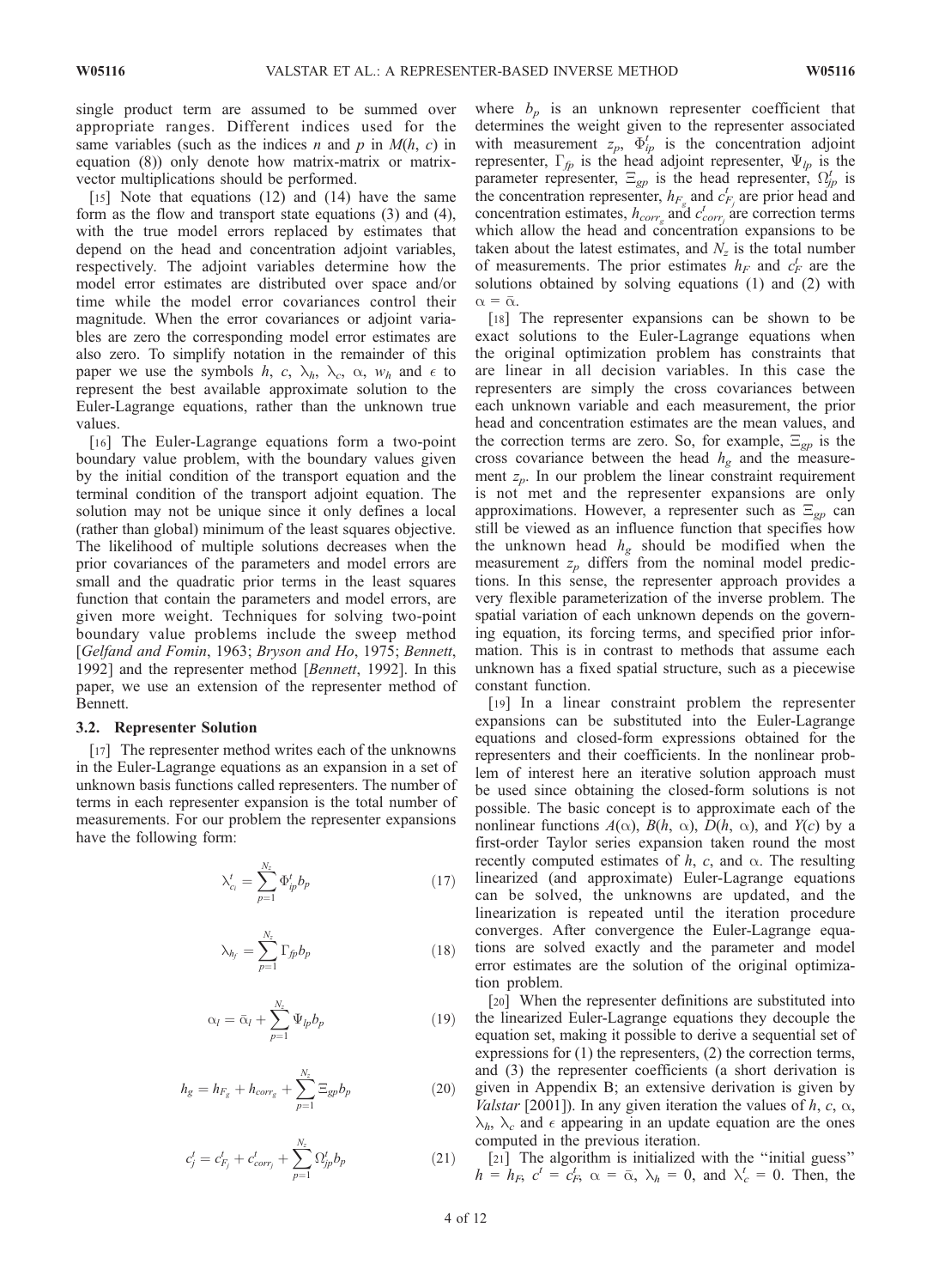single product term are assumed to be summed over appropriate ranges. Different indices used for the same variables (such as the indices *n* and *p* in  $M(h, c)$  in equation (8)) only denote how matrix-matrix or matrixvector multiplications should be performed.

[15] Note that equations (12) and (14) have the same form as the flow and transport state equations (3) and (4), with the true model errors replaced by estimates that depend on the head and concentration adjoint variables, respectively. The adjoint variables determine how the model error estimates are distributed over space and/or time while the model error covariances control their magnitude. When the error covariances or adjoint variables are zero the corresponding model error estimates are also zero. To simplify notation in the remainder of this paper we use the symbols h, c,  $\lambda_h$ ,  $\lambda_c$ ,  $\alpha$ ,  $w_h$  and  $\epsilon$  to represent the best available approximate solution to the Euler-Lagrange equations, rather than the unknown true values.

[16] The Euler-Lagrange equations form a two-point boundary value problem, with the boundary values given by the initial condition of the transport equation and the terminal condition of the transport adjoint equation. The solution may not be unique since it only defines a local (rather than global) minimum of the least squares objective. The likelihood of multiple solutions decreases when the prior covariances of the parameters and model errors are small and the quadratic prior terms in the least squares function that contain the parameters and model errors, are given more weight. Techniques for solving two-point boundary value problems include the sweep method [Gelfand and Fomin, 1963; Bryson and Ho, 1975; Bennett, 1992] and the representer method [Bennett, 1992]. In this paper, we use an extension of the representer method of Bennett.

#### 3.2. Representer Solution

[17] The representer method writes each of the unknowns in the Euler-Lagrange equations as an expansion in a set of unknown basis functions called representers. The number of terms in each representer expansion is the total number of measurements. For our problem the representer expansions have the following form:

$$
\lambda_{c_i}^t = \sum_{p=1}^{N_z} \Phi_{ip}^t b_p \tag{17}
$$

$$
\lambda_{h_f} = \sum_{p=1}^{N_z} \Gamma_{fp} b_p \tag{18}
$$

$$
\alpha_l = \bar{\alpha}_l + \sum_{p=1}^{N_z} \Psi_{lp} b_p \tag{19}
$$

$$
h_g = h_{F_g} + h_{corr_g} + \sum_{p=1}^{N_z} \Xi_{gp} b_p
$$
 (20)

$$
c_j^t = c_{F_j}^t + c_{corr_j}^t + \sum_{p=1}^{N_z} \Omega_{jp}^t b_p \tag{21}
$$

where  $b_p$  is an unknown representer coefficient that determines the weight given to the representer associated with measurement  $z_p$ ,  $\Phi_{ip}^t$  is the concentration adjoint representer,  $\Gamma_{fp}$  is the head adjoint representer,  $\Psi_{lp}$  is the parameter representer,  $\Xi_{gp}$  is the head representer,  $\Omega_{jp}^t$  is the concentration representer,  $h_{F_g}$  and  $c_{F_j}^t$  are prior head and concentration estimates,  $h_{corr_g}$  and  $c_{corr_j}^t$  are correction terms which allow the head and concentration expansions to be taken about the latest estimates, and  $N_z$  is the total number of measurements. The prior estimates  $h_F$  and  $c_F^t$  are the solutions obtained by solving equations (1) and (2) with  $\alpha = \overline{\alpha}$ .

[18] The representer expansions can be shown to be exact solutions to the Euler-Lagrange equations when the original optimization problem has constraints that are linear in all decision variables. In this case the representers are simply the cross covariances between each unknown variable and each measurement, the prior head and concentration estimates are the mean values, and the correction terms are zero. So, for example,  $\Xi_{gp}$  is the cross covariance between the head  $h<sub>g</sub>$  and the measurement  $z_p$ . In our problem the linear constraint requirement is not met and the representer expansions are only approximations. However, a representer such as  $\Xi_{gp}$  can still be viewed as an influence function that specifies how the unknown head  $h<sub>g</sub>$  should be modified when the measurement  $z_p$  differs from the nominal model predictions. In this sense, the representer approach provides a very flexible parameterization of the inverse problem. The spatial variation of each unknown depends on the governing equation, its forcing terms, and specified prior information. This is in contrast to methods that assume each unknown has a fixed spatial structure, such as a piecewise constant function.

[19] In a linear constraint problem the representer expansions can be substituted into the Euler-Lagrange equations and closed-form expressions obtained for the representers and their coefficients. In the nonlinear problem of interest here an iterative solution approach must be used since obtaining the closed-form solutions is not possible. The basic concept is to approximate each of the nonlinear functions  $A(\alpha)$ ,  $B(h, \alpha)$ ,  $D(h, \alpha)$ , and  $Y(c)$  by a first-order Taylor series expansion taken round the most recently computed estimates of  $h$ ,  $c$ , and  $\alpha$ . The resulting linearized (and approximate) Euler-Lagrange equations can be solved, the unknowns are updated, and the linearization is repeated until the iteration procedure converges. After convergence the Euler-Lagrange equations are solved exactly and the parameter and model error estimates are the solution of the original optimization problem.

[20] When the representer definitions are substituted into the linearized Euler-Lagrange equations they decouple the equation set, making it possible to derive a sequential set of expressions for (1) the representers, (2) the correction terms, and (3) the representer coefficients (a short derivation is given in Appendix B; an extensive derivation is given by *Valstar* [2001]). In any given iteration the values of h, c,  $\alpha$ ,  $\lambda_h$ ,  $\lambda_c$  and  $\epsilon$  appearing in an update equation are the ones computed in the previous iteration.

[21] The algorithm is initialized with the "initial guess"  $h = h_F$ ,  $c^t = c_F^t$ ,  $\alpha = \bar{\alpha}$ ,  $\lambda_h = 0$ , and  $\lambda_c^t = 0$ . Then, the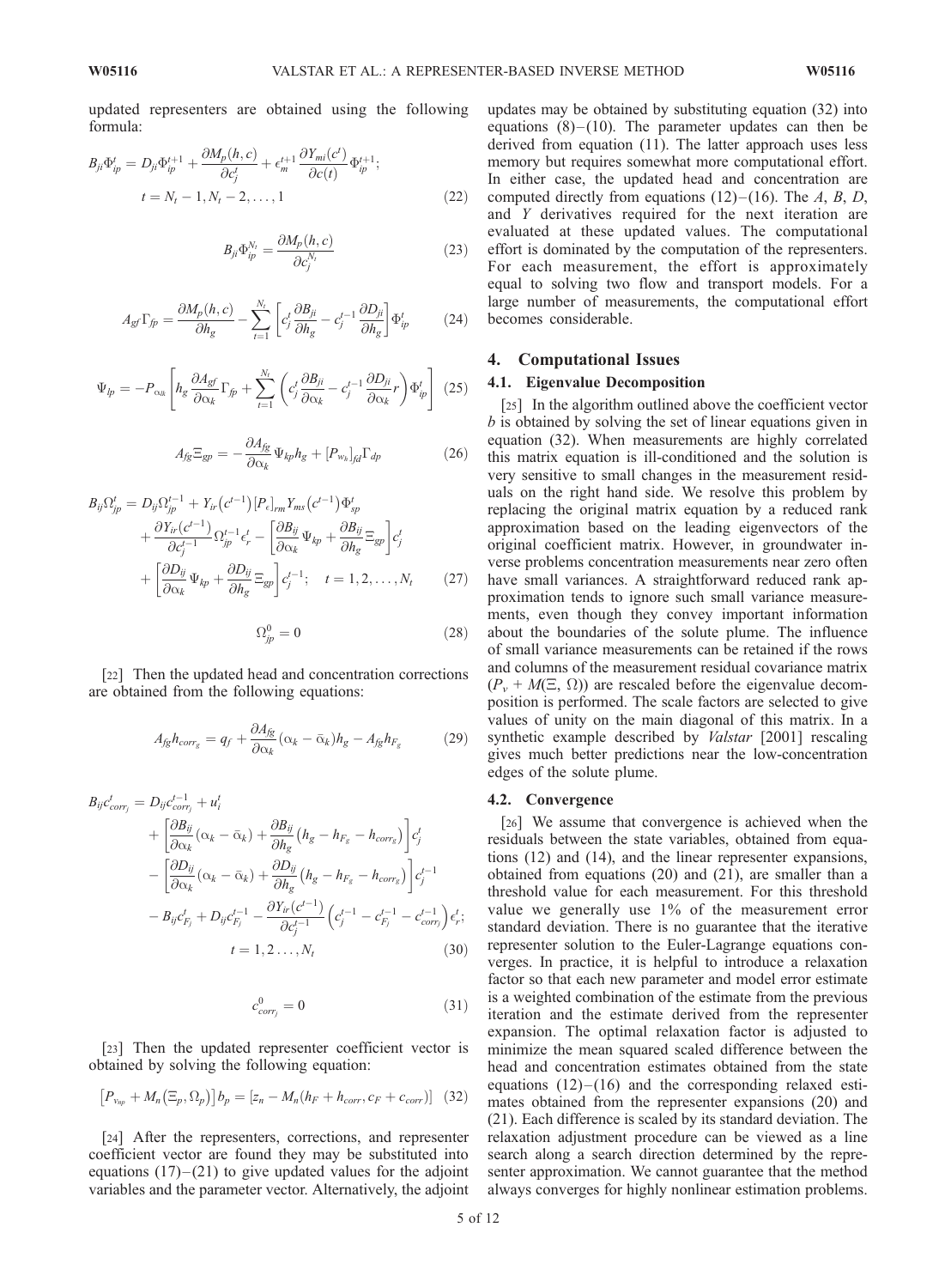updated representers are obtained using the following formula:

$$
B_{ji}\Phi_{ip}^{t} = D_{ji}\Phi_{ip}^{t+1} + \frac{\partial M_p(h,c)}{\partial c_j^{t}} + \epsilon_m^{t+1} \frac{\partial Y_{mi}(c^t)}{\partial c(t)} \Phi_{ip}^{t+1};
$$
  

$$
t = N_t - 1, N_t - 2, ..., 1
$$
 (22)

$$
B_{ji}\Phi_{ip}^{N_t} = \frac{\partial M_p(h,c)}{\partial c_j^{N_t}}
$$
\n(23)

$$
A_{gf}\Gamma_{fp} = \frac{\partial M_p(h,c)}{\partial h_g} - \sum_{t=1}^{N_t} \left[ c_j^t \frac{\partial B_{ji}}{\partial h_g} - c_j^{t-1} \frac{\partial D_{ji}}{\partial h_g} \right] \Phi_{ip}^t \tag{24}
$$

$$
\Psi_{lp} = -P_{\alpha_{lk}} \left[ h_g \frac{\partial A_{gf}}{\partial \alpha_k} \Gamma_{fp} + \sum_{t=1}^{N_t} \left( c_j^t \frac{\partial B_{ji}}{\partial \alpha_k} - c_j^{t-1} \frac{\partial D_{ji}}{\partial \alpha_k} r \right) \Phi_{ip}^t \right] (25)
$$

$$
A_{fg}\Xi_{gp} = -\frac{\partial A_{fg}}{\partial \alpha_k} \Psi_{kp} h_g + [P_{w_h}]_{fd} \Gamma_{dp}
$$
 (26)

$$
B_{ij}\Omega_{jp}^{t} = D_{ij}\Omega_{jp}^{t-1} + Y_{ir}(c^{t-1})[P_{\epsilon}]_{rm}Y_{ms}(c^{t-1})\Phi_{sp}^{t}
$$
  
+ 
$$
\frac{\partial Y_{ir}(c^{t-1})}{\partial c_{j}^{t-1}}\Omega_{jp}^{t-1}\epsilon_{r}^{t} - \left[\frac{\partial B_{ij}}{\partial \alpha_{k}}\Psi_{kp} + \frac{\partial B_{ij}}{\partial h_{g}}\Xi_{gp}\right]c_{j}^{t}
$$
  
+ 
$$
\left[\frac{\partial D_{ij}}{\partial \alpha_{k}}\Psi_{kp} + \frac{\partial D_{ij}}{\partial h_{g}}\Xi_{gp}\right]c_{j}^{t-1}; \quad t = 1, 2, ..., N_{t}
$$
(27)

$$
\Omega_{jp}^0 = 0 \tag{28}
$$

[22] Then the updated head and concentration corrections are obtained from the following equations:

$$
A_{fg}h_{corr_g} = q_f + \frac{\partial A_{fg}}{\partial \alpha_k} (\alpha_k - \bar{\alpha}_k) h_g - A_{fg} h_{F_g}
$$
 (29)

$$
B_{ij}c_{corr_j}^t = D_{ij}c_{corr_j}^{t-1} + u_t^t
$$
  
+ 
$$
\left[\frac{\partial B_{ij}}{\partial \alpha_k}(\alpha_k - \bar{\alpha}_k) + \frac{\partial B_{ij}}{\partial h_g}(h_g - h_{F_g} - h_{corr_s})\right]c_j^t
$$
  
- 
$$
\left[\frac{\partial D_{ij}}{\partial \alpha_k}(\alpha_k - \bar{\alpha}_k) + \frac{\partial D_{ij}}{\partial h_g}(h_g - h_{F_g} - h_{corr_s})\right]c_j^{t-1}
$$
  
- 
$$
B_{ij}c_{F_j}^t + D_{ij}c_{F_j}^{t-1} - \frac{\partial Y_{ir}(c^{t-1})}{\partial c_j^{t-1}}\left(c_j^{t-1} - c_{F_j}^{t-1} - c_{corr_j}^{t-1}\right)\epsilon_r^t;
$$
  
+ = 1, 2..., N<sub>t</sub> (30)

$$
c_{corr_j}^0 = 0 \tag{31}
$$

[23] Then the updated representer coefficient vector is obtained by solving the following equation:

$$
[P_{v_{np}} + M_n(\Xi_p, \Omega_p)]b_p = [z_n - M_n(h_F + h_{corr}, c_F + c_{corr})]
$$
 (32)

[24] After the representers, corrections, and representer coefficient vector are found they may be substituted into equations  $(17)$  –  $(21)$  to give updated values for the adjoint variables and the parameter vector. Alternatively, the adjoint updates may be obtained by substituting equation (32) into equations  $(8)$  –  $(10)$ . The parameter updates can then be derived from equation (11). The latter approach uses less memory but requires somewhat more computational effort. In either case, the updated head and concentration are computed directly from equations  $(12)$ – $(16)$ . The A, B, D, and Y derivatives required for the next iteration are evaluated at these updated values. The computational effort is dominated by the computation of the representers. For each measurement, the effort is approximately equal to solving two flow and transport models. For a large number of measurements, the computational effort becomes considerable.

## 4. Computational Issues

## 4.1. Eigenvalue Decomposition

[25] In the algorithm outlined above the coefficient vector  $b$  is obtained by solving the set of linear equations given in equation (32). When measurements are highly correlated this matrix equation is ill-conditioned and the solution is very sensitive to small changes in the measurement residuals on the right hand side. We resolve this problem by replacing the original matrix equation by a reduced rank approximation based on the leading eigenvectors of the original coefficient matrix. However, in groundwater inverse problems concentration measurements near zero often have small variances. A straightforward reduced rank approximation tends to ignore such small variance measurements, even though they convey important information about the boundaries of the solute plume. The influence of small variance measurements can be retained if the rows and columns of the measurement residual covariance matrix  $(P_v + M(\Xi, \Omega))$  are rescaled before the eigenvalue decomposition is performed. The scale factors are selected to give values of unity on the main diagonal of this matrix. In a synthetic example described by Valstar [2001] rescaling gives much better predictions near the low-concentration edges of the solute plume.

#### 4.2. Convergence

[26] We assume that convergence is achieved when the residuals between the state variables, obtained from equations (12) and (14), and the linear representer expansions, obtained from equations (20) and (21), are smaller than a threshold value for each measurement. For this threshold value we generally use 1% of the measurement error standard deviation. There is no guarantee that the iterative representer solution to the Euler-Lagrange equations converges. In practice, it is helpful to introduce a relaxation factor so that each new parameter and model error estimate is a weighted combination of the estimate from the previous iteration and the estimate derived from the representer expansion. The optimal relaxation factor is adjusted to minimize the mean squared scaled difference between the head and concentration estimates obtained from the state equations  $(12)$ – $(16)$  and the corresponding relaxed estimates obtained from the representer expansions (20) and (21). Each difference is scaled by its standard deviation. The relaxation adjustment procedure can be viewed as a line search along a search direction determined by the representer approximation. We cannot guarantee that the method always converges for highly nonlinear estimation problems.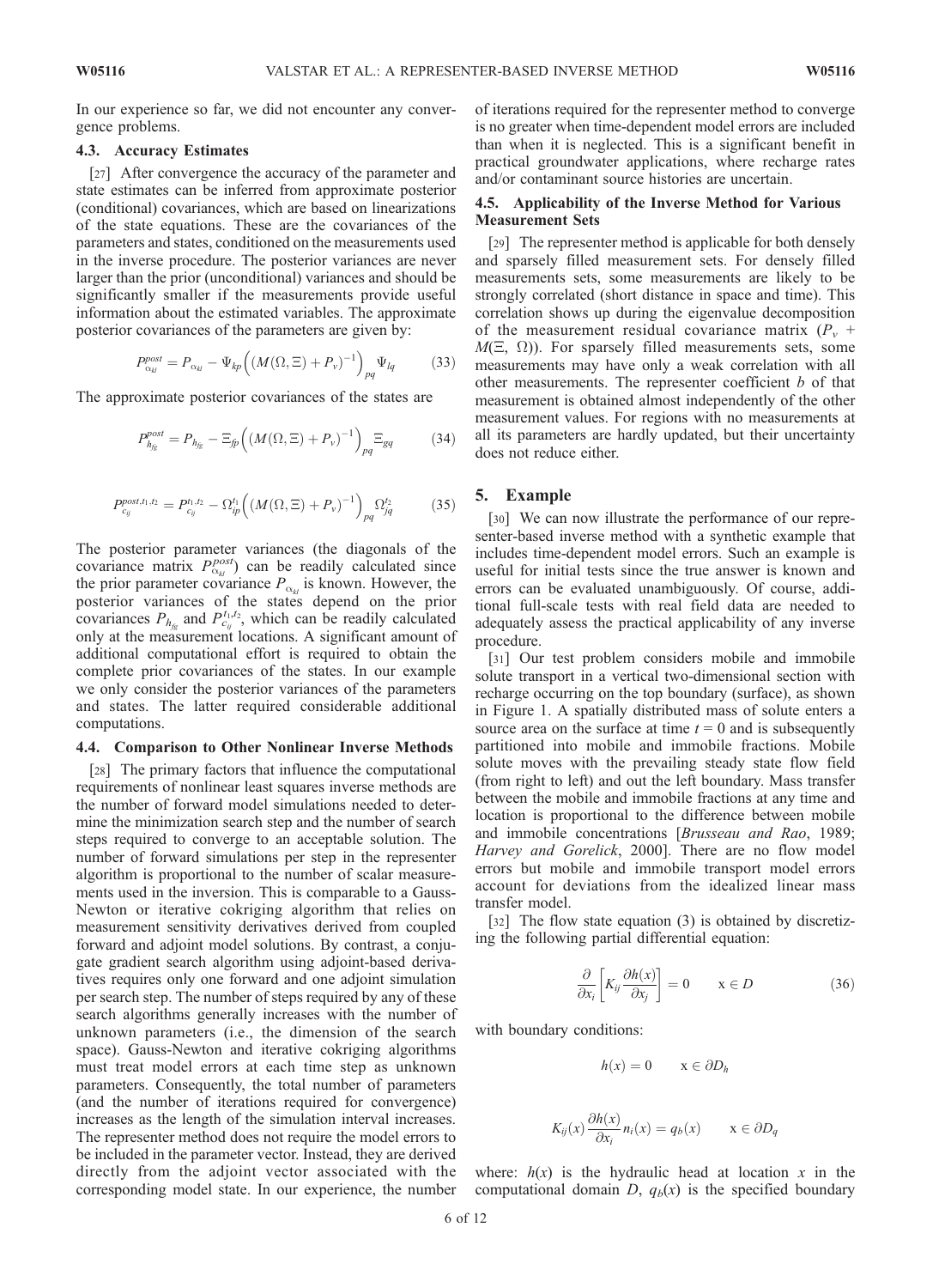In our experience so far, we did not encounter any convergence problems.

## 4.3. Accuracy Estimates

[27] After convergence the accuracy of the parameter and state estimates can be inferred from approximate posterior (conditional) covariances, which are based on linearizations of the state equations. These are the covariances of the parameters and states, conditioned on the measurements used in the inverse procedure. The posterior variances are never larger than the prior (unconditional) variances and should be significantly smaller if the measurements provide useful information about the estimated variables. The approximate posterior covariances of the parameters are given by:

$$
P_{\alpha_{kl}}^{post} = P_{\alpha_{kl}} - \Psi_{kp} \left( \left( M(\Omega, \Xi) + P_v \right)^{-1} \right)_{pq} \Psi_{lq} \tag{33}
$$

The approximate posterior covariances of the states are

$$
P_{h_{fg}}^{post} = P_{h_{fg}} - \Xi_{fp} \left( \left( M(\Omega, \Xi) + P_v \right)^{-1} \right)_{pq} \Xi_{gq} \tag{34}
$$

$$
P_{c_{ij}}^{post,t_1,t_2} = P_{c_{ij}}^{t_1,t_2} - \Omega_{ip}^{t_1} \Big( (M(\Omega,\Xi) + P_v)^{-1} \Big)_{pq} \Omega_{jq}^{t_2} \tag{35}
$$

The posterior parameter variances (the diagonals of the covariance matrix  $P_{\alpha_{kl}}^{post}$  can be readily calculated since the prior parameter covariance  $P_{\alpha_{kl}}$  is known. However, the posterior variances of the states depend on the prior covariances  $P_{h_{f_g}}$  and  $P_{c_{ij}}^{t_1,t_2}$ , which can be readily calculated only at the measurement locations. A significant amount of additional computational effort is required to obtain the complete prior covariances of the states. In our example we only consider the posterior variances of the parameters and states. The latter required considerable additional computations.

#### 4.4. Comparison to Other Nonlinear Inverse Methods

[28] The primary factors that influence the computational requirements of nonlinear least squares inverse methods are the number of forward model simulations needed to determine the minimization search step and the number of search steps required to converge to an acceptable solution. The number of forward simulations per step in the representer algorithm is proportional to the number of scalar measurements used in the inversion. This is comparable to a Gauss-Newton or iterative cokriging algorithm that relies on measurement sensitivity derivatives derived from coupled forward and adjoint model solutions. By contrast, a conjugate gradient search algorithm using adjoint-based derivatives requires only one forward and one adjoint simulation per search step. The number of steps required by any of these search algorithms generally increases with the number of unknown parameters (i.e., the dimension of the search space). Gauss-Newton and iterative cokriging algorithms must treat model errors at each time step as unknown parameters. Consequently, the total number of parameters (and the number of iterations required for convergence) increases as the length of the simulation interval increases. The representer method does not require the model errors to be included in the parameter vector. Instead, they are derived directly from the adjoint vector associated with the corresponding model state. In our experience, the number

of iterations required for the representer method to converge is no greater when time-dependent model errors are included than when it is neglected. This is a significant benefit in practical groundwater applications, where recharge rates and/or contaminant source histories are uncertain.

### 4.5. Applicability of the Inverse Method for Various Measurement Sets

[29] The representer method is applicable for both densely and sparsely filled measurement sets. For densely filled measurements sets, some measurements are likely to be strongly correlated (short distance in space and time). This correlation shows up during the eigenvalue decomposition of the measurement residual covariance matrix  $(P_v +$  $M(\Xi, \Omega)$ ). For sparsely filled measurements sets, some measurements may have only a weak correlation with all other measurements. The representer coefficient  $b$  of that measurement is obtained almost independently of the other measurement values. For regions with no measurements at all its parameters are hardly updated, but their uncertainty does not reduce either.

## 5. Example

[30] We can now illustrate the performance of our representer-based inverse method with a synthetic example that includes time-dependent model errors. Such an example is useful for initial tests since the true answer is known and errors can be evaluated unambiguously. Of course, additional full-scale tests with real field data are needed to adequately assess the practical applicability of any inverse procedure.

[31] Our test problem considers mobile and immobile solute transport in a vertical two-dimensional section with recharge occurring on the top boundary (surface), as shown in Figure 1. A spatially distributed mass of solute enters a source area on the surface at time  $t = 0$  and is subsequently partitioned into mobile and immobile fractions. Mobile solute moves with the prevailing steady state flow field (from right to left) and out the left boundary. Mass transfer between the mobile and immobile fractions at any time and location is proportional to the difference between mobile and immobile concentrations [Brusseau and Rao, 1989; Harvey and Gorelick, 2000]. There are no flow model errors but mobile and immobile transport model errors account for deviations from the idealized linear mass transfer model.

[32] The flow state equation (3) is obtained by discretizing the following partial differential equation:

$$
\frac{\partial}{\partial x_i} \left[ K_{ij} \frac{\partial h(x)}{\partial x_j} \right] = 0 \qquad x \in D \tag{36}
$$

with boundary conditions:

$$
h(x) = 0 \qquad x \in \partial D_h
$$

$$
K_{ij}(x)\frac{\partial h(x)}{\partial x_i}n_i(x) = q_b(x) \qquad x \in \partial D_q
$$

where:  $h(x)$  is the hydraulic head at location x in the computational domain  $D$ ,  $q_b(x)$  is the specified boundary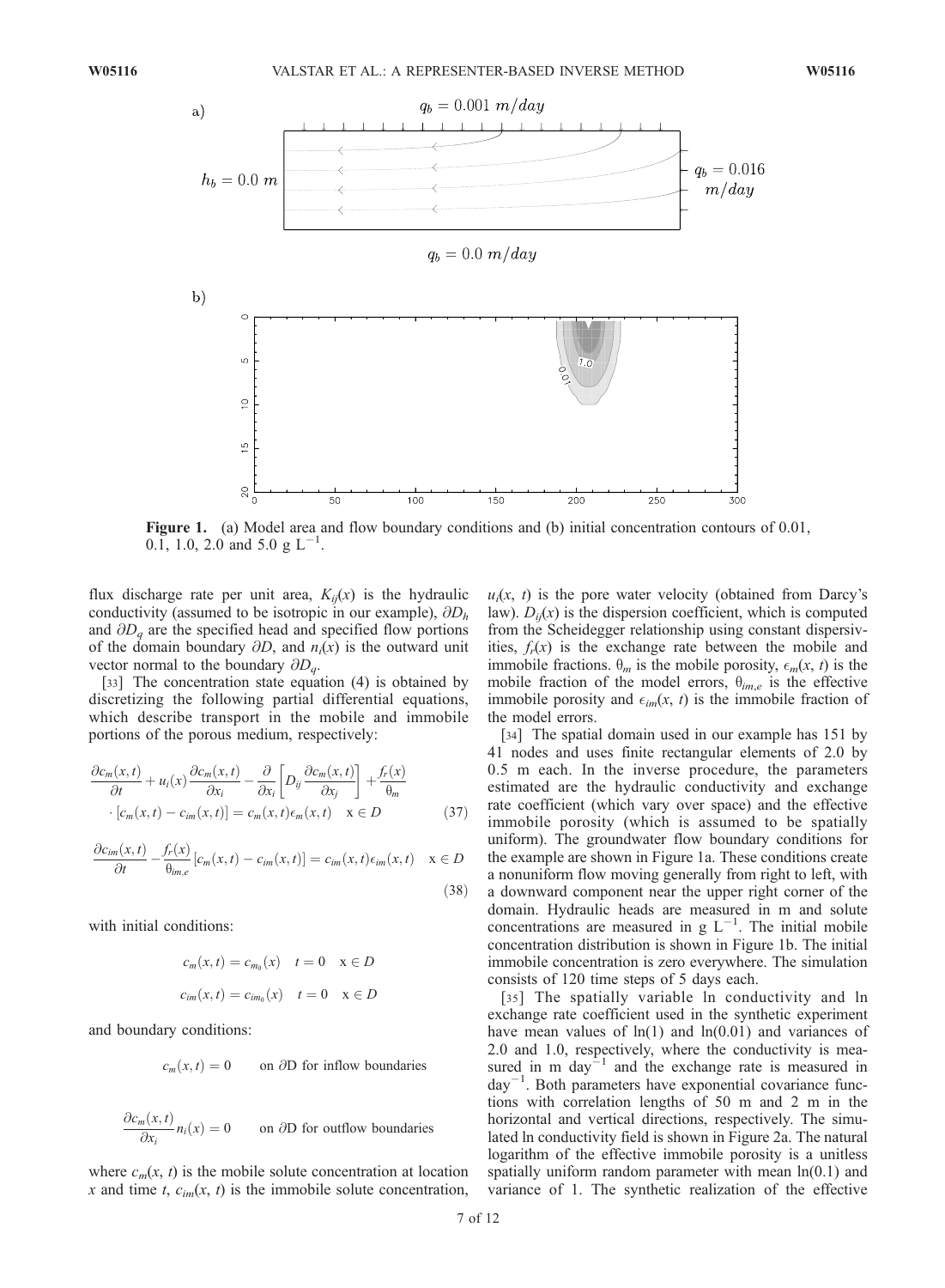

Figure 1. (a) Model area and flow boundary conditions and (b) initial concentration contours of 0.01, 0.1, 1.0, 2.0 and 5.0 g  $L^{-1}$ .

flux discharge rate per unit area,  $K_{ii}(x)$  is the hydraulic conductivity (assumed to be isotropic in our example),  $\partial D_h$ and  $\partial D_q$  are the specified head and specified flow portions of the domain boundary  $\partial D$ , and  $n_i(x)$  is the outward unit vector normal to the boundary  $\partial D_q$ .

[33] The concentration state equation (4) is obtained by discretizing the following partial differential equations, which describe transport in the mobile and immobile portions of the porous medium, respectively:

$$
\frac{\partial c_m(x,t)}{\partial t} + u_i(x) \frac{\partial c_m(x,t)}{\partial x_i} - \frac{\partial}{\partial x_i} \left[ D_{ij} \frac{\partial c_m(x,t)}{\partial x_j} \right] + \frac{f_r(x)}{\theta_m}
$$
  
 
$$
\cdot [c_m(x,t) - c_{im}(x,t)] = c_m(x,t) \epsilon_m(x,t) \quad x \in D \tag{37}
$$

$$
\frac{\partial c_{im}(x,t)}{\partial t} - \frac{f_r(x)}{\theta_{im,e}} [c_m(x,t) - c_{im}(x,t)] = c_{im}(x,t)\epsilon_{im}(x,t) \quad x \in D
$$
\n(38)

with initial conditions:

$$
c_m(x, t) = c_{m_0}(x) \quad t = 0 \quad x \in D
$$
  

$$
c_{im}(x, t) = c_{im_0}(x) \quad t = 0 \quad x \in D
$$

and boundary conditions:

$$
c_m(x, t) = 0
$$
 on  $\partial$ D for inflow boundaries

$$
\frac{\partial c_m(x,t)}{\partial x_i} n_i(x) = 0
$$
 on  $\partial$ D for outflow boundaries

where  $c_m(x, t)$  is the mobile solute concentration at location x and time t,  $c_{im}(x, t)$  is the immobile solute concentration,  $u_i(x, t)$  is the pore water velocity (obtained from Darcy's law).  $D_{ii}(x)$  is the dispersion coefficient, which is computed from the Scheidegger relationship using constant dispersivities,  $f_r(x)$  is the exchange rate between the mobile and immobile fractions.  $\theta_m$  is the mobile porosity,  $\epsilon_m(x, t)$  is the mobile fraction of the model errors,  $\theta_{im,e}$  is the effective immobile porosity and  $\epsilon_{im}(x, t)$  is the immobile fraction of the model errors.

[34] The spatial domain used in our example has 151 by 41 nodes and uses finite rectangular elements of 2.0 by 0.5 m each. In the inverse procedure, the parameters estimated are the hydraulic conductivity and exchange rate coefficient (which vary over space) and the effective immobile porosity (which is assumed to be spatially uniform). The groundwater flow boundary conditions for the example are shown in Figure 1a. These conditions create a nonuniform flow moving generally from right to left, with a downward component near the upper right corner of the domain. Hydraulic heads are measured in m and solute concentrations are measured in g  $L^{-1}$ . The initial mobile concentration distribution is shown in Figure 1b. The initial immobile concentration is zero everywhere. The simulation consists of 120 time steps of 5 days each.

[35] The spatially variable ln conductivity and ln exchange rate coefficient used in the synthetic experiment have mean values of  $ln(1)$  and  $ln(0.01)$  and variances of 2.0 and 1.0, respectively, where the conductivity is measured in m day<sup>-1</sup> and the exchange rate is measured in day<sup>-1</sup>. Both parameters have exponential covariance functions with correlation lengths of 50 m and 2 m in the horizontal and vertical directions, respectively. The simulated ln conductivity field is shown in Figure 2a. The natural logarithm of the effective immobile porosity is a unitless spatially uniform random parameter with mean  $ln(0.1)$  and variance of 1. The synthetic realization of the effective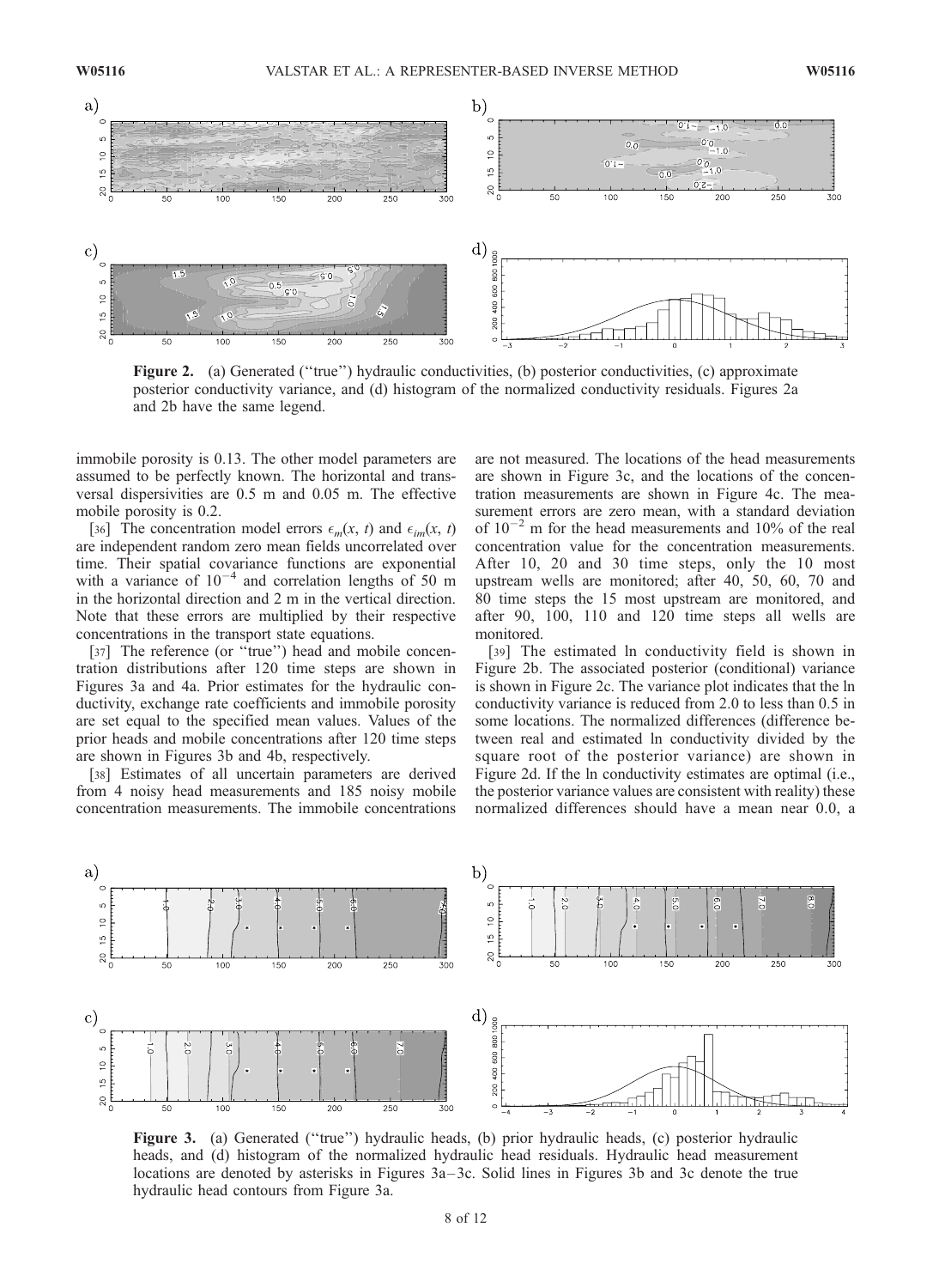

Figure 2. (a) Generated ("true") hydraulic conductivities, (b) posterior conductivities, (c) approximate posterior conductivity variance, and (d) histogram of the normalized conductivity residuals. Figures 2a and 2b have the same legend.

immobile porosity is 0.13. The other model parameters are assumed to be perfectly known. The horizontal and transversal dispersivities are 0.5 m and 0.05 m. The effective mobile porosity is 0.2.

[36] The concentration model errors  $\epsilon_m(x, t)$  and  $\epsilon_{im}(x, t)$ are independent random zero mean fields uncorrelated over time. Their spatial covariance functions are exponential with a variance of  $10^{-4}$  and correlation lengths of 50 m in the horizontal direction and 2 m in the vertical direction. Note that these errors are multiplied by their respective concentrations in the transport state equations.

[37] The reference (or "true") head and mobile concentration distributions after 120 time steps are shown in Figures 3a and 4a. Prior estimates for the hydraulic conductivity, exchange rate coefficients and immobile porosity are set equal to the specified mean values. Values of the prior heads and mobile concentrations after 120 time steps are shown in Figures 3b and 4b, respectively.

[38] Estimates of all uncertain parameters are derived from 4 noisy head measurements and 185 noisy mobile concentration measurements. The immobile concentrations are not measured. The locations of the head measurements are shown in Figure 3c, and the locations of the concentration measurements are shown in Figure 4c. The measurement errors are zero mean, with a standard deviation of  $10^{-2}$  m for the head measurements and  $10\%$  of the real concentration value for the concentration measurements. After 10, 20 and 30 time steps, only the 10 most upstream wells are monitored; after 40, 50, 60, 70 and 80 time steps the 15 most upstream are monitored, and after 90, 100, 110 and 120 time steps all wells are monitored.

[39] The estimated ln conductivity field is shown in Figure 2b. The associated posterior (conditional) variance is shown in Figure 2c. The variance plot indicates that the ln conductivity variance is reduced from 2.0 to less than 0.5 in some locations. The normalized differences (difference between real and estimated ln conductivity divided by the square root of the posterior variance) are shown in Figure 2d. If the ln conductivity estimates are optimal (i.e., the posterior variance values are consistent with reality) these normalized differences should have a mean near 0.0, a



Figure 3. (a) Generated ("true") hydraulic heads, (b) prior hydraulic heads, (c) posterior hydraulic heads, and (d) histogram of the normalized hydraulic head residuals. Hydraulic head measurement locations are denoted by asterisks in Figures  $3a-3c$ . Solid lines in Figures 3b and 3c denote the true hydraulic head contours from Figure 3a.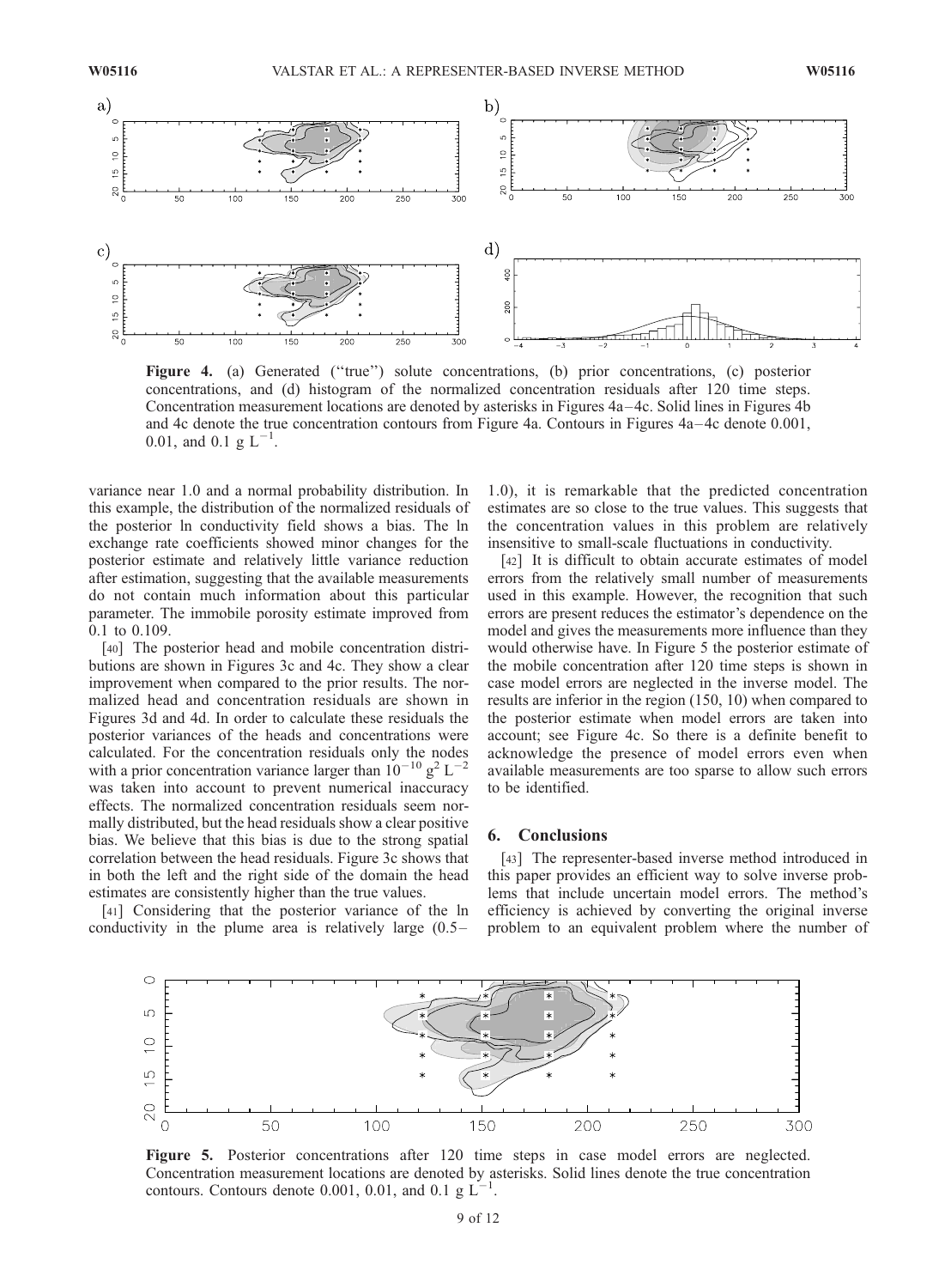

Figure 4. (a) Generated (''true'') solute concentrations, (b) prior concentrations, (c) posterior concentrations, and (d) histogram of the normalized concentration residuals after 120 time steps. Concentration measurement locations are denoted by asterisks in Figures 4a – 4c. Solid lines in Figures 4b and 4c denote the true concentration contours from Figure 4a. Contours in Figures 4a – 4c denote 0.001, 0.01, and 0.1  $g L^{-1}$ .

variance near 1.0 and a normal probability distribution. In this example, the distribution of the normalized residuals of the posterior ln conductivity field shows a bias. The ln exchange rate coefficients showed minor changes for the posterior estimate and relatively little variance reduction after estimation, suggesting that the available measurements do not contain much information about this particular parameter. The immobile porosity estimate improved from 0.1 to 0.109.

[40] The posterior head and mobile concentration distributions are shown in Figures 3c and 4c. They show a clear improvement when compared to the prior results. The normalized head and concentration residuals are shown in Figures 3d and 4d. In order to calculate these residuals the posterior variances of the heads and concentrations were calculated. For the concentration residuals only the nodes with a prior concentration variance larger than  $10^{-10}$  g<sup>2</sup> L<sup>-2</sup> was taken into account to prevent numerical inaccuracy effects. The normalized concentration residuals seem normally distributed, but the head residuals show a clear positive bias. We believe that this bias is due to the strong spatial correlation between the head residuals. Figure 3c shows that in both the left and the right side of the domain the head estimates are consistently higher than the true values.

[41] Considering that the posterior variance of the ln conductivity in the plume area is relatively large  $(0.5 -$ 

1.0), it is remarkable that the predicted concentration estimates are so close to the true values. This suggests that the concentration values in this problem are relatively insensitive to small-scale fluctuations in conductivity.

[42] It is difficult to obtain accurate estimates of model errors from the relatively small number of measurements used in this example. However, the recognition that such errors are present reduces the estimator's dependence on the model and gives the measurements more influence than they would otherwise have. In Figure 5 the posterior estimate of the mobile concentration after 120 time steps is shown in case model errors are neglected in the inverse model. The results are inferior in the region (150, 10) when compared to the posterior estimate when model errors are taken into account; see Figure 4c. So there is a definite benefit to acknowledge the presence of model errors even when available measurements are too sparse to allow such errors to be identified.

#### 6. Conclusions

[43] The representer-based inverse method introduced in this paper provides an efficient way to solve inverse problems that include uncertain model errors. The method's efficiency is achieved by converting the original inverse problem to an equivalent problem where the number of



Figure 5. Posterior concentrations after 120 time steps in case model errors are neglected. Concentration measurement locations are denoted by asterisks. Solid lines denote the true concentration contours. Contours denote 0.001, 0.01, and 0.1  $g L^{-1}$ .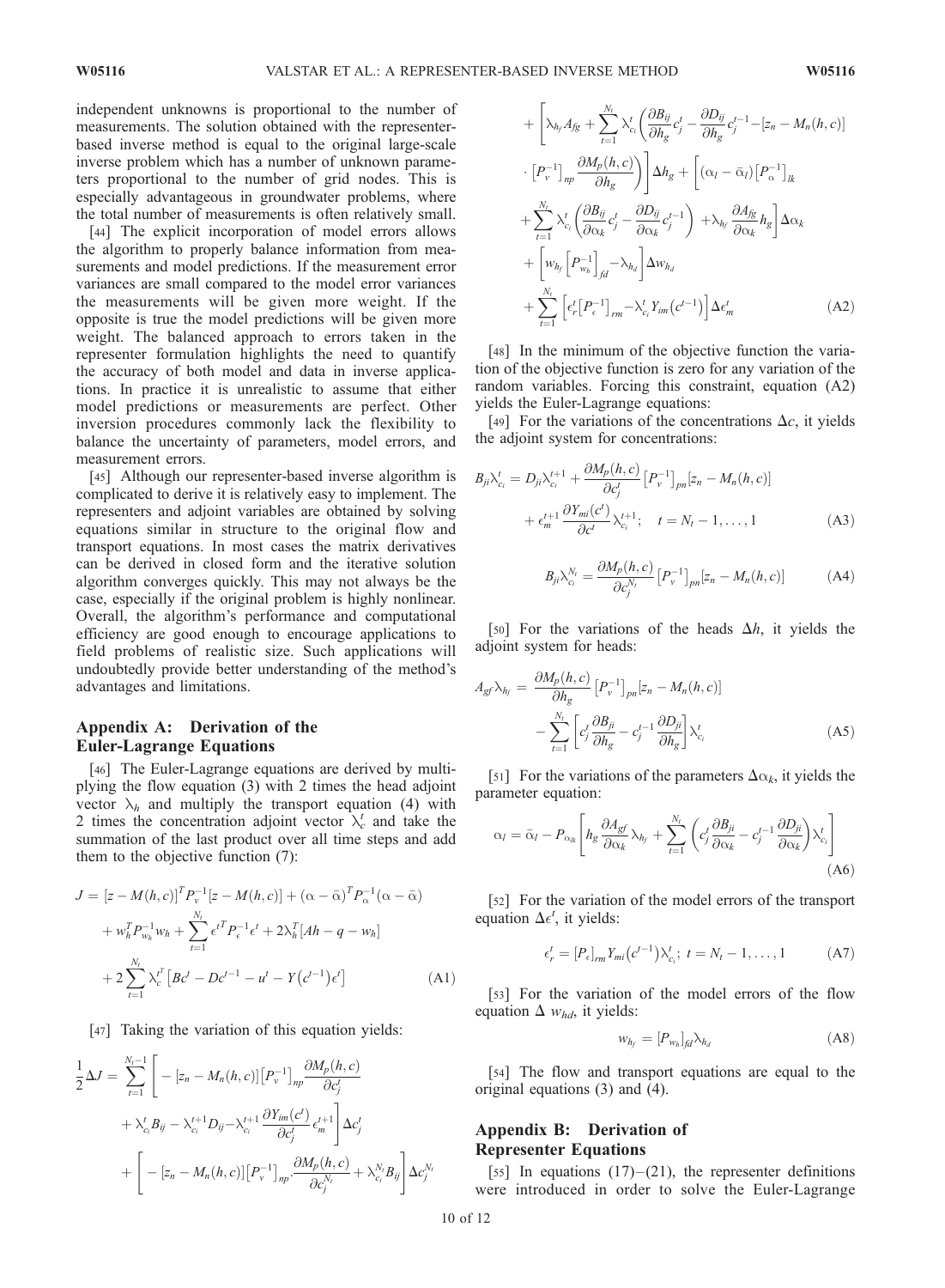independent unknowns is proportional to the number of measurements. The solution obtained with the representerbased inverse method is equal to the original large-scale inverse problem which has a number of unknown parameters proportional to the number of grid nodes. This is especially advantageous in groundwater problems, where the total number of measurements is often relatively small.

[44] The explicit incorporation of model errors allows the algorithm to properly balance information from measurements and model predictions. If the measurement error variances are small compared to the model error variances the measurements will be given more weight. If the opposite is true the model predictions will be given more weight. The balanced approach to errors taken in the representer formulation highlights the need to quantify the accuracy of both model and data in inverse applications. In practice it is unrealistic to assume that either model predictions or measurements are perfect. Other inversion procedures commonly lack the flexibility to balance the uncertainty of parameters, model errors, and measurement errors.

[45] Although our representer-based inverse algorithm is complicated to derive it is relatively easy to implement. The representers and adjoint variables are obtained by solving equations similar in structure to the original flow and transport equations. In most cases the matrix derivatives can be derived in closed form and the iterative solution algorithm converges quickly. This may not always be the case, especially if the original problem is highly nonlinear. Overall, the algorithm's performance and computational efficiency are good enough to encourage applications to field problems of realistic size. Such applications will undoubtedly provide better understanding of the method's advantages and limitations.

## Appendix A: Derivation of the Euler-Lagrange Equations

[46] The Euler-Lagrange equations are derived by multiplying the flow equation (3) with 2 times the head adjoint vector  $\lambda_h$  and multiply the transport equation (4) with 2 times the concentration adjoint vector  $\lambda_c^t$  and take the summation of the last product over all time steps and add them to the objective function (7):

$$
J = [z - M(h, c)]^T P_v^{-1} [z - M(h, c)] + (\alpha - \bar{\alpha})^T P_{\alpha}^{-1} (\alpha - \bar{\alpha})
$$
  
+  $w_h^T P_{w_h}^{-1} w_h + \sum_{t=1}^{N_t} \epsilon^{t} P_{\epsilon}^{-1} \epsilon^t + 2\lambda_h^T [Ah - q - w_h]$   
+  $2 \sum_{t=1}^{N_t} \lambda_c^{t} [Bc^t - Dc^{t-1} - u^t - Y(c^{t-1})\epsilon^t]$  (A1)

[47] Taking the variation of this equation yields:

$$
\frac{1}{2}\Delta J = \sum_{t=1}^{N_t-1} \left[ -\left[z_n - M_n(h,c)\right] \left[P_v^{-1}\right]_{np} \frac{\partial M_p(h,c)}{\partial c_j^t} + \lambda_{c_i}^t B_{ij} - \lambda_{c_i}^{t+1} D_{ij} - \lambda_{c_i}^{t+1} \frac{\partial Y_{im}(c^t)}{\partial c_j^t} \epsilon_m^{t+1} \right] \Delta c_j^t + \left[ -\left[z_n - M_n(h,c)\right] \left[P_v^{-1}\right]_{np} \cdot \frac{\partial M_p(h,c)}{\partial c_j^{N_t}} + \lambda_{c_i}^{N_t} B_{ij} \right] \Delta c_j^{N_t}
$$

$$
+\left[\lambda_{h_f} A_{f\bar{g}} + \sum_{t=1}^{N_t} \lambda_{c_i}^t \left( \frac{\partial B_{ij}}{\partial h_g} c_j^t - \frac{\partial D_{ij}}{\partial h_g} c_j^{t-1} - [z_n - M_n(h, c)] \right. \\ \left. \cdot \left[ P_{\nu}^{-1} \right]_{np} \frac{\partial M_p(h, c)}{\partial h_g} \right) \right] \Delta h_g + \left[ (\alpha_l - \bar{\alpha}_l) \left[ P_{\alpha}^{-1} \right]_{lk} + \sum_{t=1}^{N_t} \lambda_{c_i}^t \left( \frac{\partial B_{ij}}{\partial \alpha_k} c_j^t - \frac{\partial D_{ij}}{\partial \alpha_k} c_j^{t-1} \right) + \lambda_{h_f} \frac{\partial A_{f\bar{g}}}{\partial \alpha_k} h_g \right] \Delta \alpha_k \\ + \left[ w_{h_f} \left[ P_{\nu_{h}}^{-1} \right]_{fd} - \lambda_{h_d} \right] \Delta w_{h_d} \\ + \sum_{t=1}^{N_t} \left[ \epsilon_r^t \left[ P_{\epsilon}^{-1} \right]_{rm} - \lambda_{c_i}^t Y_{im} \left( c^{t-1} \right) \right] \Delta \epsilon_m^t \tag{A2}
$$

[48] In the minimum of the objective function the variation of the objective function is zero for any variation of the random variables. Forcing this constraint, equation (A2) yields the Euler-Lagrange equations:

[49] For the variations of the concentrations  $\Delta c$ , it yields the adjoint system for concentrations:

$$
B_{ji}\lambda_{c_i}^t = D_{ji}\lambda_{c_i}^{t+1} + \frac{\partial M_p(h,c)}{\partial c_j^t} [P_v^{-1}]_{pn}[z_n - M_n(h,c)] + \epsilon_m^{t+1} \frac{\partial Y_{mi}(c^t)}{\partial c^t} \lambda_{c_i}^{t+1}; \quad t = N_t - 1, ..., 1
$$
 (A3)

$$
B_{ji}\lambda_{c_i}^{N_t} = \frac{\partial M_p(h,c)}{\partial c_j^N} \left[ P_v^{-1} \right]_{pn} [z_n - M_n(h,c)] \tag{A4}
$$

[50] For the variations of the heads  $\Delta h$ , it yields the adjoint system for heads:

$$
A_{gf}\lambda_{h_f} = \frac{\partial M_p(h,c)}{\partial h_g} \left[ P_v^{-1} \right]_{pn} [z_n - M_n(h,c)]
$$

$$
- \sum_{t=1}^{N_t} \left[ c_j^t \frac{\partial B_{ji}}{\partial h_g} - c_j^{t-1} \frac{\partial D_{ji}}{\partial h_g} \right] \lambda_{c_i}^t
$$
(A5)

[51] For the variations of the parameters  $\Delta \alpha_k$ , it yields the parameter equation:

$$
\alpha_l = \bar{\alpha}_l - P_{\alpha_{lk}} \left[ h_g \frac{\partial A_{gf}}{\partial \alpha_k} \lambda_{h_f} + \sum_{t=1}^{N_t} \left( c_j^t \frac{\partial B_{ji}}{\partial \alpha_k} - c_j^{t-1} \frac{\partial D_{ji}}{\partial \alpha_k} \right) \lambda_{c_i}^t \right]
$$
(A6)

[52] For the variation of the model errors of the transport equation  $\Delta \epsilon^t$ , it yields:

$$
\epsilon_r^t = [P_{\epsilon}]_{rm} Y_{mi} (c^{t-1}) \lambda_{c_i}^t; \ t = N_t - 1, \dots, 1 \tag{A7}
$$

[53] For the variation of the model errors of the flow equation  $\Delta$  w<sub>hd</sub>, it yields:

$$
w_{h_f} = [P_{w_h}]_{fd} \lambda_{h_d} \tag{A8}
$$

[54] The flow and transport equations are equal to the original equations (3) and (4).

## Appendix B: Derivation of Representer Equations

[55] In equations  $(17)$ – $(21)$ , the representer definitions were introduced in order to solve the Euler-Lagrange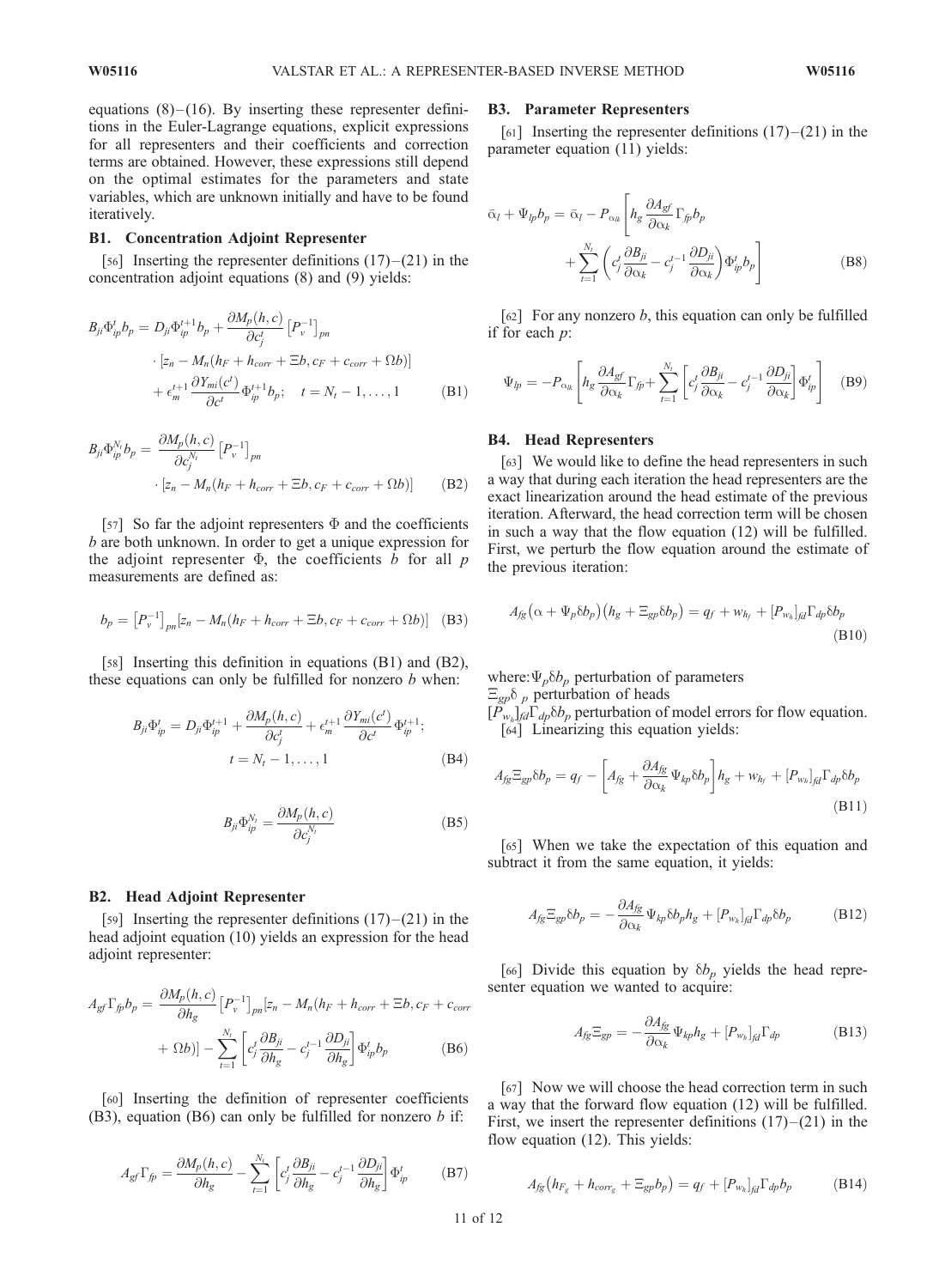equations  $(8)$  –  $(16)$ . By inserting these representer definitions in the Euler-Lagrange equations, explicit expressions for all representers and their coefficients and correction terms are obtained. However, these expressions still depend on the optimal estimates for the parameters and state variables, which are unknown initially and have to be found iteratively.

#### B1. Concentration Adjoint Representer

[56] Inserting the representer definitions  $(17)$ – $(21)$  in the concentration adjoint equations (8) and (9) yields:

$$
B_{ji}\Phi_{ip}^{t}b_{p} = D_{ji}\Phi_{ip}^{t+1}b_{p} + \frac{\partial M_{p}(h,c)}{\partial c_{j}^{t}} \left[P_{v}^{-1}\right]_{pn}
$$

$$
\cdot \left[z_{n} - M_{n}(h_{F} + h_{corr} + \Xi b, c_{F} + c_{corr} + \Omega b)\right]
$$

$$
+ \epsilon_{m}^{t+1} \frac{\partial Y_{mi}(c^{t})}{\partial c^{t}} \Phi_{ip}^{t+1}b_{p}; \quad t = N_{t} - 1, ..., 1
$$
(B1)

$$
B_{ji}\Phi_{ip}^{N_i}b_p = \frac{\partial M_p(h,c)}{\partial c_j^{N_i}} \left[P_v^{-1}\right]_{pn}
$$
  
 
$$
\cdot \left[z_n - M_n(h_F + h_{corr} + \Xi b, c_F + c_{corr} + \Omega b)\right]
$$
 (B2)

[57] So far the adjoint representers  $\Phi$  and the coefficients b are both unknown. In order to get a unique expression for the adjoint representer  $\Phi$ , the coefficients  $\vec{b}$  for all p measurements are defined as:

$$
b_p = [P_v^{-1}]_{pn}[z_n - M_n(h_F + h_{corr} + \Xi b, c_F + c_{corr} + \Omega b)]
$$
 (B3)

[58] Inserting this definition in equations (B1) and (B2), these equations can only be fulfilled for nonzero  $b$  when:

$$
B_{ji}\Phi_{ip}^t = D_{ji}\Phi_{ip}^{t+1} + \frac{\partial M_p(h,c)}{\partial c_j^t} + \epsilon_m^{t+1} \frac{\partial Y_{mi}(c^t)}{\partial c^t} \Phi_{ip}^{t+1};
$$
  

$$
t = N_t - 1, \dots, 1
$$
 (B4)

$$
B_{ji}\Phi_{ip}^{N_t} = \frac{\partial M_p(h,c)}{\partial c_j^{N_t}}
$$
(B5)

#### B2. Head Adjoint Representer

[59] Inserting the representer definitions  $(17)$ – $(21)$  in the head adjoint equation (10) yields an expression for the head adjoint representer:

$$
A_{gf}\Gamma_{fp}b_p = \frac{\partial M_p(h,c)}{\partial h_g} [P_v^{-1}]_{pn}[z_n - M_n(h_F + h_{corr} + \Xi b, c_F + c_{corr} + \Omega b)] - \sum_{t=1}^{N_t} \left[ c_j^t \frac{\partial B_{ji}}{\partial h_g} - c_j^{t-1} \frac{\partial D_{ji}}{\partial h_g} \right] \Phi_{ip}^t b_p \tag{B6}
$$

[60] Inserting the definition of representer coefficients (B3), equation (B6) can only be fulfilled for nonzero  $b$  if:

$$
A_{gf}\Gamma_{fp} = \frac{\partial M_p(h,c)}{\partial h_g} - \sum_{t=1}^{N_t} \left[ c_j^t \frac{\partial B_{ji}}{\partial h_g} - c_j^{t-1} \frac{\partial D_{ji}}{\partial h_g} \right] \Phi_{ip}^t \tag{B7}
$$

#### B3. Parameter Representers

[61] Inserting the representer definitions  $(17)$ – $(21)$  in the parameter equation (11) yields:

$$
\bar{\alpha}_{l} + \Psi_{lp} b_{p} = \bar{\alpha}_{l} - P_{\alpha_{lk}} \left[ h_g \frac{\partial A_{gf}}{\partial \alpha_{k}} \Gamma_{fp} b_{p} \right] + \sum_{t=1}^{N_{t}} \left( c_{j}^{t} \frac{\partial B_{jt}}{\partial \alpha_{k}} - c_{j}^{t-1} \frac{\partial D_{jt}}{\partial \alpha_{k}} \right) \Phi_{ip}^{t} b_{p} \right]
$$
\n(B8)

[62] For any nonzero  $b$ , this equation can only be fulfilled if for each p:

$$
\Psi_{lp} = -P_{\alpha_{lk}} \left[ h_g \frac{\partial A_{gf}}{\partial \alpha_k} \Gamma_{fp} + \sum_{t=1}^{N_t} \left[ c_j^t \frac{\partial B_{ji}}{\partial \alpha_k} - c_j^{t-1} \frac{\partial D_{ji}}{\partial \alpha_k} \right] \Phi_{ip}^t \right]
$$
(B9)

#### B4. Head Representers

[63] We would like to define the head representers in such a way that during each iteration the head representers are the exact linearization around the head estimate of the previous iteration. Afterward, the head correction term will be chosen in such a way that the flow equation (12) will be fulfilled. First, we perturb the flow equation around the estimate of the previous iteration:

$$
A_{fg}(\alpha + \Psi_p \delta b_p)(h_g + \Xi_{gp} \delta b_p) = q_f + w_{h_f} + [P_{w_h}]_{fd} \Gamma_{dp} \delta b_p
$$
\n(B10)

where:  $\Psi_p \delta b_p$  perturbation of parameters  $\Xi_{gp} \delta_p$  perturbation of heads

 $[P_{w_h}]_{fd} \Gamma_{dp} \delta b_p$  perturbation of model errors for flow equation. [64] Linearizing this equation yields:

$$
A_{fg} \Xi_{gp} \delta b_p = q_f - \left[ A_{fg} + \frac{\partial A_{fg}}{\partial \alpha_k} \Psi_{kp} \delta b_p \right] h_g + w_{h_f} + [P_{w_h}]_{fd} \Gamma_{dp} \delta b_p
$$
\n(B11)

[65] When we take the expectation of this equation and subtract it from the same equation, it yields:

$$
A_{fg} \Xi_{gp} \delta b_p = -\frac{\partial A_{fg}}{\partial \alpha_k} \Psi_{kp} \delta b_p h_g + [P_{w_h}]_{fd} \Gamma_{dp} \delta b_p \tag{B12}
$$

[66] Divide this equation by  $\delta b_p$  yields the head representer equation we wanted to acquire:

$$
A_{fg}\Xi_{gp} = -\frac{\partial A_{fg}}{\partial \alpha_k} \Psi_{kp} h_g + [P_{w_h}]_{fd} \Gamma_{dp}
$$
(B13)

[67] Now we will choose the head correction term in such a way that the forward flow equation (12) will be fulfilled. First, we insert the representer definitions  $(17)$ – $(21)$  in the flow equation (12). This yields:

$$
4fg (hFg + hcorrg + \Xigp bp) = qf + [Pwh]fd \Gammadp bp
$$
 (B14)

11 of 12